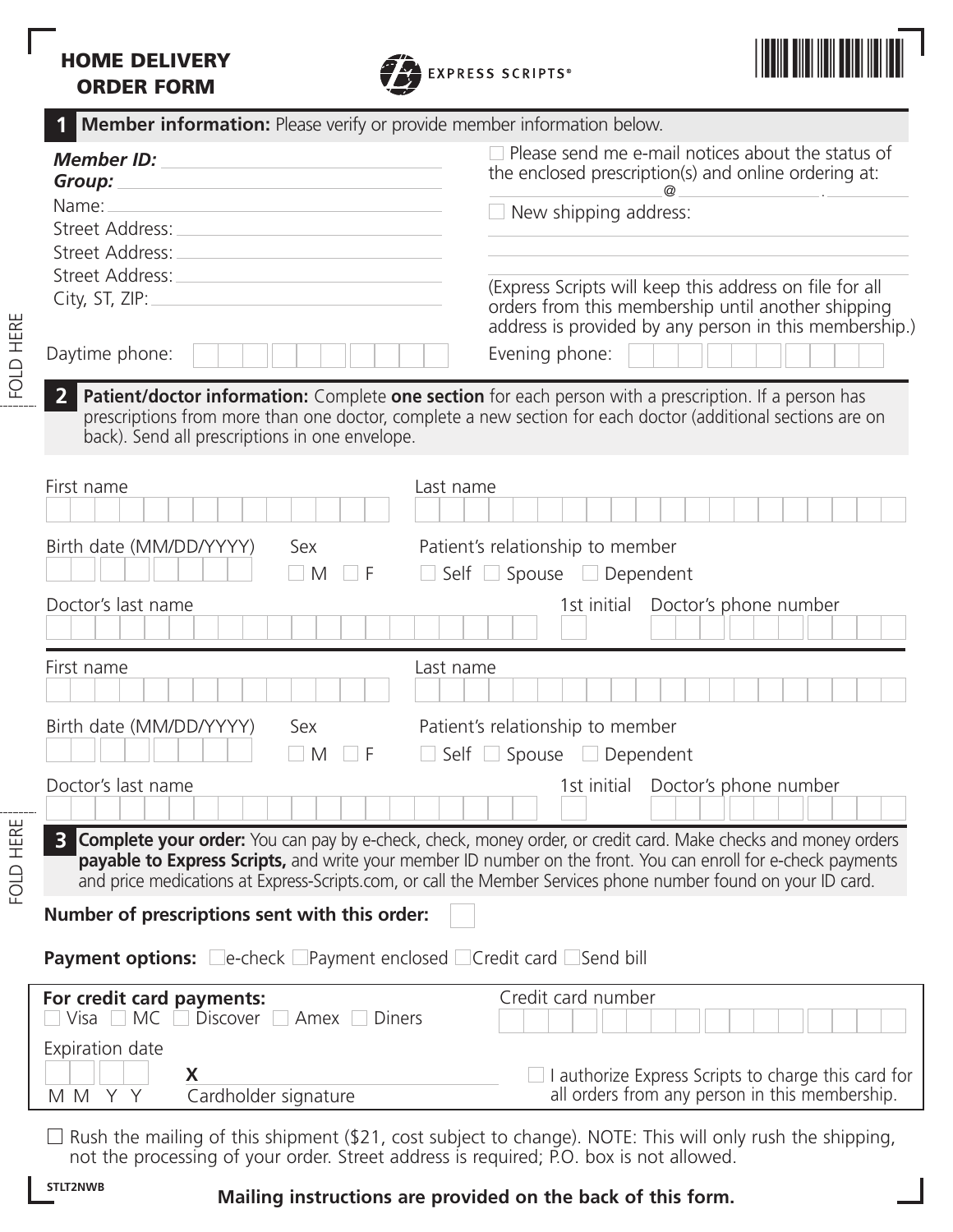# **HOME DELIVERY ORDER FORM**





| <b>Member information:</b> Please verify or provide member information below. |                                                                                                                                                                                                                                                                                                                                                               |
|-------------------------------------------------------------------------------|---------------------------------------------------------------------------------------------------------------------------------------------------------------------------------------------------------------------------------------------------------------------------------------------------------------------------------------------------------------|
| <b>Member ID:</b><br>Group:                                                   | $\Box$ Please send me e-mail notices about the status of<br>the enclosed prescription(s) and online ordering at:<br>$^{\omega}$                                                                                                                                                                                                                               |
| Name:                                                                         | New shipping address:                                                                                                                                                                                                                                                                                                                                         |
| Street Address:<br>Street Address:                                            |                                                                                                                                                                                                                                                                                                                                                               |
| Street Address:                                                               |                                                                                                                                                                                                                                                                                                                                                               |
| City, ST, ZIP:                                                                | (Express Scripts will keep this address on file for all<br>orders from this membership until another shipping<br>address is provided by any person in this membership.)                                                                                                                                                                                       |
| Daytime phone:                                                                | Evening phone:                                                                                                                                                                                                                                                                                                                                                |
| back). Send all prescriptions in one envelope.                                | Patient/doctor information: Complete one section for each person with a prescription. If a person has<br>prescriptions from more than one doctor, complete a new section for each doctor (additional sections are on                                                                                                                                          |
| First name                                                                    | Last name                                                                                                                                                                                                                                                                                                                                                     |
| Birth date (MM/DD/YYYY)<br>Sex<br>$\blacksquare$ M<br>. F                     | Patient's relationship to member<br>Self Spouse Dependent                                                                                                                                                                                                                                                                                                     |
| Doctor's last name                                                            | Doctor's phone number<br>1st initial                                                                                                                                                                                                                                                                                                                          |
| First name                                                                    | Last name                                                                                                                                                                                                                                                                                                                                                     |
| Birth date (MM/DD/YYYY)<br>Sex<br>$\Box$ M<br>F                               | Patient's relationship to member<br>Self Spouse Dependent                                                                                                                                                                                                                                                                                                     |
| Doctor's last name                                                            | 1st initial Doctor's phone number                                                                                                                                                                                                                                                                                                                             |
|                                                                               | <b>Complete your order:</b> You can pay by e-check, check, money order, or credit card. Make checks and money orders<br><b>payable to Express Scripts,</b> and write your member ID number on the front. You can enroll for e-check payments<br>and price medications at Express-Scripts.com, or call the Member Services phone number found on your ID card. |
| Number of prescriptions sent with this order:                                 |                                                                                                                                                                                                                                                                                                                                                               |
| <b>Payment options:</b> Le-check Payment enclosed Credit card Send bill       |                                                                                                                                                                                                                                                                                                                                                               |
| For credit card payments:<br>MC Discover Amex Diners<br>   Visa               | Credit card number                                                                                                                                                                                                                                                                                                                                            |
| Expiration date<br>X<br>Cardholder signature<br>MMYY                          | $\Box$ I authorize Express Scripts to charge this card for<br>all orders from any person in this membership.                                                                                                                                                                                                                                                  |

Rush the mailing of this shipment (\$21, cost subject to change). NOTE: This will only rush the shipping, not the processing of your order. Street address is required; P.O. box is not allowed.

FOLD HERE

#### **STLT2NWB**

## **Mailing instructions are provided on the back of this form.**